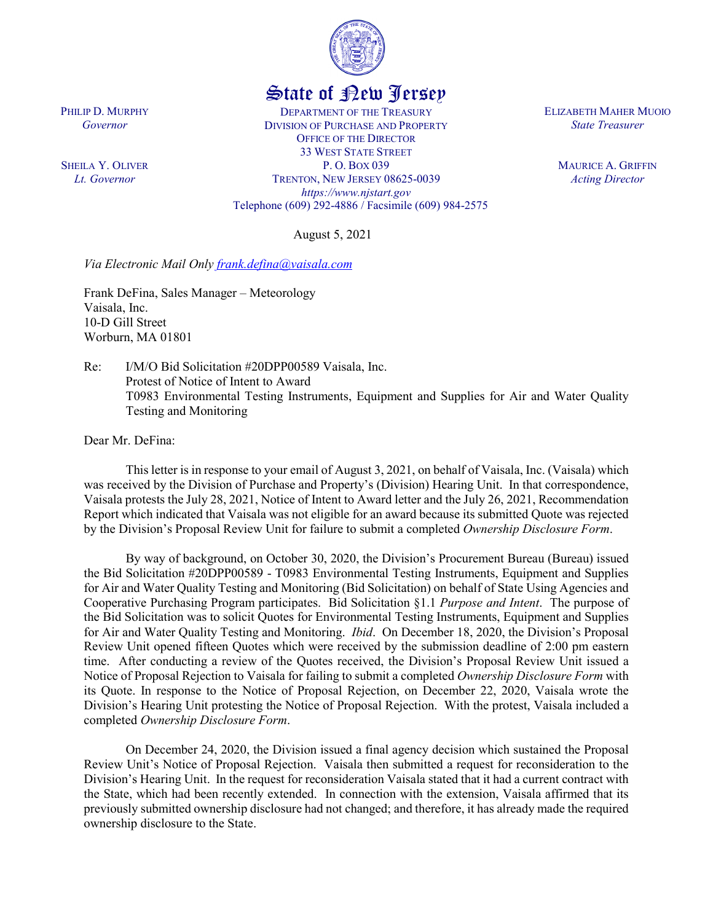

## State of New Jersey

DEPARTMENT OF THE TREASURY DIVISION OF PURCHASE AND PROPERTY OFFICE OF THE DIRECTOR 33 WEST STATE STREET P. O. BOX 039 TRENTON, NEW JERSEY 08625-0039 *https://www.njstart.gov* Telephone (609) 292-4886 / Facsimile (609) 984-2575

August 5, 2021

*Via Electronic Mail Only [frank.defina@vaisala.com](mailto:frank.defina@vaisala.com)*

Frank DeFina, Sales Manager – Meteorology Vaisala, Inc. 10-D Gill Street Worburn, MA 01801

Re: I/M/O Bid Solicitation #20DPP00589 Vaisala, Inc. Protest of Notice of Intent to Award T0983 Environmental Testing Instruments, Equipment and Supplies for Air and Water Quality Testing and Monitoring

Dear Mr. DeFina:

PHILIP D. MURPHY *Governor*

SHEILA Y. OLIVER *Lt. Governor*

> This letter is in response to your email of August 3, 2021, on behalf of Vaisala, Inc. (Vaisala) which was received by the Division of Purchase and Property's (Division) Hearing Unit. In that correspondence, Vaisala protests the July 28, 2021, Notice of Intent to Award letter and the July 26, 2021, Recommendation Report which indicated that Vaisala was not eligible for an award because its submitted Quote was rejected by the Division's Proposal Review Unit for failure to submit a completed *Ownership Disclosure Form*.

> By way of background, on October 30, 2020, the Division's Procurement Bureau (Bureau) issued the Bid Solicitation #20DPP00589 - T0983 Environmental Testing Instruments, Equipment and Supplies for Air and Water Quality Testing and Monitoring (Bid Solicitation) on behalf of State Using Agencies and Cooperative Purchasing Program participates. Bid Solicitation §1.1 *Purpose and Intent*. The purpose of the Bid Solicitation was to solicit Quotes for Environmental Testing Instruments, Equipment and Supplies for Air and Water Quality Testing and Monitoring. *Ibid*. On December 18, 2020, the Division's Proposal Review Unit opened fifteen Quotes which were received by the submission deadline of 2:00 pm eastern time. After conducting a review of the Quotes received, the Division's Proposal Review Unit issued a Notice of Proposal Rejection to Vaisala for failing to submit a completed *Ownership Disclosure Form* with its Quote. In response to the Notice of Proposal Rejection, on December 22, 2020, Vaisala wrote the Division's Hearing Unit protesting the Notice of Proposal Rejection. With the protest, Vaisala included a completed *Ownership Disclosure Form*.

> On December 24, 2020, the Division issued a final agency decision which sustained the Proposal Review Unit's Notice of Proposal Rejection. Vaisala then submitted a request for reconsideration to the Division's Hearing Unit. In the request for reconsideration Vaisala stated that it had a current contract with the State, which had been recently extended. In connection with the extension, Vaisala affirmed that its previously submitted ownership disclosure had not changed; and therefore, it has already made the required ownership disclosure to the State.

ELIZABETH MAHER MUOIO *State Treasurer*

> MAURICE A. GRIFFIN *Acting Director*